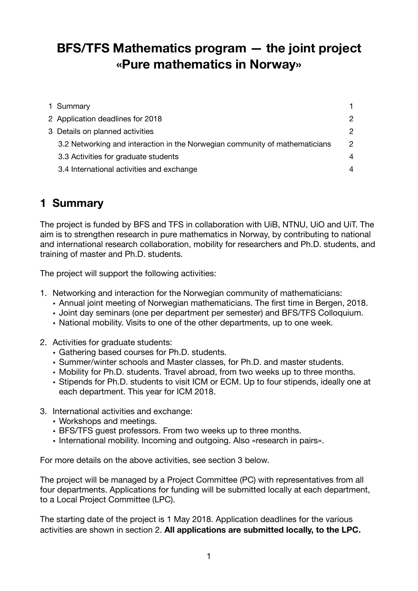# **BFS/TFS Mathematics program — the joint project «Pure mathematics in Norway»**

| 1 Summary                                                                   |               |
|-----------------------------------------------------------------------------|---------------|
| 2 Application deadlines for 2018                                            | 2             |
| 3 Details on planned activities                                             | $\mathcal{P}$ |
| 3.2 Networking and interaction in the Norwegian community of mathematicians | 2             |
| 3.3 Activities for graduate students                                        | 4             |
| 3.4 International activities and exchange                                   |               |

## <span id="page-0-0"></span>**1 Summary**

The project is funded by BFS and TFS in collaboration with UiB, NTNU, UiO and UiT. The aim is to strengthen research in pure mathematics in Norway, by contributing to national and international research collaboration, mobility for researchers and Ph.D. students, and training of master and Ph.D. students.

The project will support the following activities:

- 1. Networking and interaction for the Norwegian community of mathematicians:
	- Annual joint meeting of Norwegian mathematicians. The first time in Bergen, 2018.
	- Joint day seminars (one per department per semester) and BFS/TFS Colloquium.
	- National mobility. Visits to one of the other departments, up to one week.
- 2. Activities for graduate students:
	- Gathering based courses for Ph.D. students.
	- Summer/winter schools and Master classes, for Ph.D. and master students.
	- Mobility for Ph.D. students. Travel abroad, from two weeks up to three months.
	- Stipends for Ph.D. students to visit ICM or ECM. Up to four stipends, ideally one at each department. This year for ICM 2018.
- 3. International activities and exchange:
	- Workshops and meetings.
	- BFS/TFS guest professors. From two weeks up to three months.
	- International mobility. Incoming and outgoing. Also «research in pairs».

For more details on the above activities, see section 3 below.

The project will be managed by a Project Committee (PC) with representatives from all four departments. Applications for funding will be submitted locally at each department, to a Local Project Committee (LPC).

The starting date of the project is 1 May 2018. Application deadlines for the various activities are shown in section 2. **All applications are submitted locally, to the LPC.**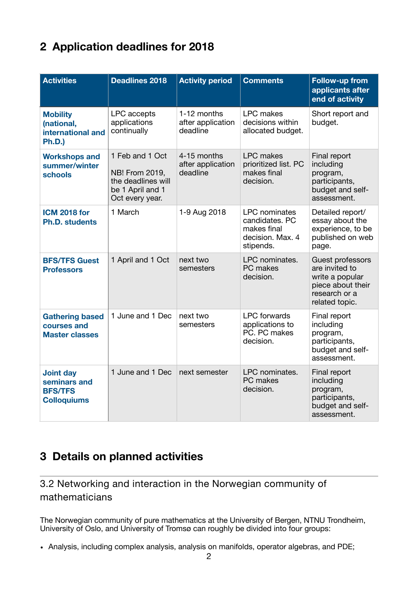# <span id="page-1-0"></span>**2 Application deadlines for 2018**

| <b>Activities</b>                                                        | Deadlines 2018                                                                                 | <b>Activity period</b>                       | <b>Comments</b>                                                                        | Follow-up from<br>applicants after<br>end of activity                                                                |
|--------------------------------------------------------------------------|------------------------------------------------------------------------------------------------|----------------------------------------------|----------------------------------------------------------------------------------------|----------------------------------------------------------------------------------------------------------------------|
| <b>Mobility</b><br>(national,<br>international and<br><b>Ph.D.)</b>      | LPC accepts<br>applications<br>continually                                                     | 1-12 months<br>after application<br>deadline | <b>LPC</b> makes<br>decisions within<br>allocated budget.                              | Short report and<br>budget.                                                                                          |
| <b>Workshops and</b><br>summer/winter<br><b>schools</b>                  | 1 Feb and 1 Oct<br>NB! From 2019,<br>the deadlines will<br>be 1 April and 1<br>Oct every year. | 4-15 months<br>after application<br>deadline | <b>LPC</b> makes<br>prioritized list. PC<br>makes final<br>decision.                   | Final report<br>including<br>program,<br>participants,<br>budget and self-<br>assessment.                            |
| <b>ICM 2018 for</b><br><b>Ph.D. students</b>                             | 1 March                                                                                        | 1-9 Aug 2018                                 | <b>LPC</b> nominates<br>candidates, PC<br>makes final<br>decision. Max. 4<br>stipends. | Detailed report/<br>essay about the<br>experience, to be<br>published on web<br>page.                                |
| <b>BFS/TFS Guest</b><br><b>Professors</b>                                | 1 April and 1 Oct                                                                              | next two<br>semesters                        | LPC nominates.<br>PC makes<br>decision.                                                | <b>Guest professors</b><br>are invited to<br>write a popular<br>piece about their<br>research or a<br>related topic. |
| <b>Gathering based</b><br>courses and<br><b>Master classes</b>           | 1 June and 1 Dec                                                                               | next two<br>semesters                        | <b>LPC</b> forwards<br>applications to<br>PC. PC makes<br>decision.                    | Final report<br>including<br>program,<br>participants,<br>budget and self-<br>assessment.                            |
| <b>Joint day</b><br>seminars and<br><b>BFS/TFS</b><br><b>Colloquiums</b> | 1 June and 1 Dec                                                                               | next semester                                | LPC nominates.<br>PC makes<br>decision.                                                | Final report<br>including<br>program,<br>participants,<br>budget and self-<br>assessment.                            |

## <span id="page-1-1"></span>**3 Details on planned activities**

## <span id="page-1-2"></span>3.2 Networking and interaction in the Norwegian community of mathematicians

The Norwegian community of pure mathematics at the University of Bergen, NTNU Trondheim, University of Oslo, and University of Tromsø can roughly be divided into four groups:

• Analysis, including complex analysis, analysis on manifolds, operator algebras, and PDE;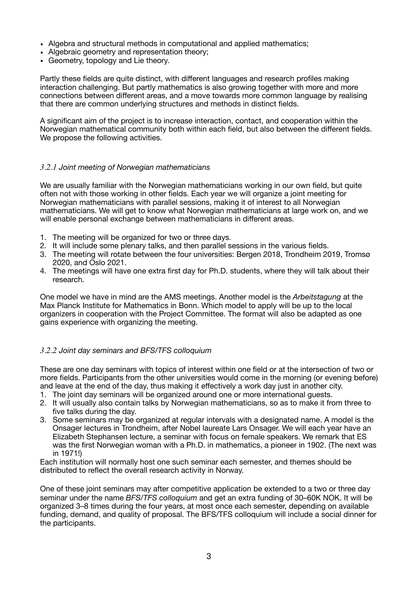- Algebra and structural methods in computational and applied mathematics;
- Algebraic geometry and representation theory;
- Geometry, topology and Lie theory.

Partly these fields are quite distinct, with different languages and research profiles making interaction challenging. But partly mathematics is also growing together with more and more connections between different areas, and a move towards more common language by realising that there are common underlying structures and methods in distinct fields.

A significant aim of the project is to increase interaction, contact, and cooperation within the Norwegian mathematical community both within each field, but also between the different fields. We propose the following activities.

### *3.2.1 Joint meeting of Norwegian mathematicians*

We are usually familiar with the Norwegian mathematicians working in our own field, but quite often not with those working in other fields. Each year we will organize a joint meeting for Norwegian mathematicians with parallel sessions, making it of interest to all Norwegian mathematicians. We will get to know what Norwegian mathematicians at large work on, and we will enable personal exchange between mathematicians in different areas.

- 1. The meeting will be organized for two or three days.
- 2. It will include some plenary talks, and then parallel sessions in the various fields.
- 3. The meeting will rotate between the four universities: Bergen 2018, Trondheim 2019, Tromsø 2020, and Oslo 2021.
- 4. The meetings will have one extra first day for Ph.D. students, where they will talk about their research.

One model we have in mind are the AMS meetings. Another model is the *Arbeitstagung* at the Max Planck Institute for Mathematics in Bonn. Which model to apply will be up to the local organizers in cooperation with the Project Committee. The format will also be adapted as one gains experience with organizing the meeting.

### *3.2.2 Joint day seminars and BFS/TFS colloquium*

These are one day seminars with topics of interest within one field or at the intersection of two or more fields. Participants from the other universities would come in the morning (or evening before) and leave at the end of the day, thus making it effectively a work day just in another city.

- 1. The joint day seminars will be organized around one or more international guests.
- 2. It will usually also contain talks by Norwegian mathematicians, so as to make it from three to five talks during the day.
- 3. Some seminars may be organized at regular intervals with a designated name. A model is the Onsager lectures in Trondheim, after Nobel laureate Lars Onsager. We will each year have an Elizabeth Stephansen lecture, a seminar with focus on female speakers. We remark that ES was the first Norwegian woman with a Ph.D. in mathematics, a pioneer in 1902. (The next was in 1971!)

Each institution will normally host one such seminar each semester, and themes should be distributed to reflect the overall research activity in Norway.

One of these joint seminars may after competitive application be extended to a two or three day seminar under the name *BFS/TFS colloquium* and get an extra funding of 30–60K NOK. It will be organized 3–8 times during the four years, at most once each semester, depending on available funding, demand, and quality of proposal. The BFS/TFS colloquium will include a social dinner for the participants.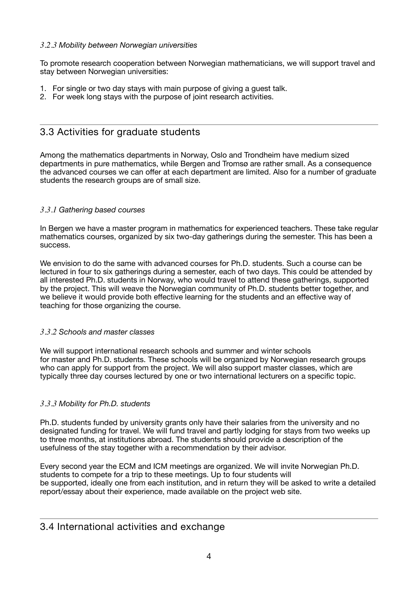## *3.2.3 Mobility between Norwegian universities*

To promote research cooperation between Norwegian mathematicians, we will support travel and stay between Norwegian universities:

- 1. For single or two day stays with main purpose of giving a guest talk.
- 2. For week long stays with the purpose of joint research activities.

## <span id="page-3-0"></span>3.3 Activities for graduate students

Among the mathematics departments in Norway, Oslo and Trondheim have medium sized departments in pure mathematics, while Bergen and Tromsø are rather small. As a consequence the advanced courses we can offer at each department are limited. Also for a number of graduate students the research groups are of small size.

## *3.3.1 Gathering based courses*

In Bergen we have a master program in mathematics for experienced teachers. These take regular mathematics courses, organized by six two-day gatherings during the semester. This has been a success.

We envision to do the same with advanced courses for Ph.D. students. Such a course can be lectured in four to six gatherings during a semester, each of two days. This could be attended by all interested Ph.D. students in Norway, who would travel to attend these gatherings, supported by the project. This will weave the Norwegian community of Ph.D. students better together, and we believe it would provide both effective learning for the students and an effective way of teaching for those organizing the course.

### *3.3.2 Schools and master classes*

We will support international research schools and summer and winter schools for master and Ph.D. students. These schools will be organized by Norwegian research groups who can apply for support from the project. We will also support master classes, which are typically three day courses lectured by one or two international lecturers on a specific topic.

## *3.3.3 Mobility for Ph.D. students*

Ph.D. students funded by university grants only have their salaries from the university and no designated funding for travel. We will fund travel and partly lodging for stays from two weeks up to three months, at institutions abroad. The students should provide a description of the usefulness of the stay together with a recommendation by their advisor.

Every second year the ECM and ICM meetings are organized. We will invite Norwegian Ph.D. students to compete for a trip to these meetings. Up to four students will be supported, ideally one from each institution, and in return they will be asked to write a detailed report/essay about their experience, made available on the project web site.

## <span id="page-3-1"></span>3.4 International activities and exchange